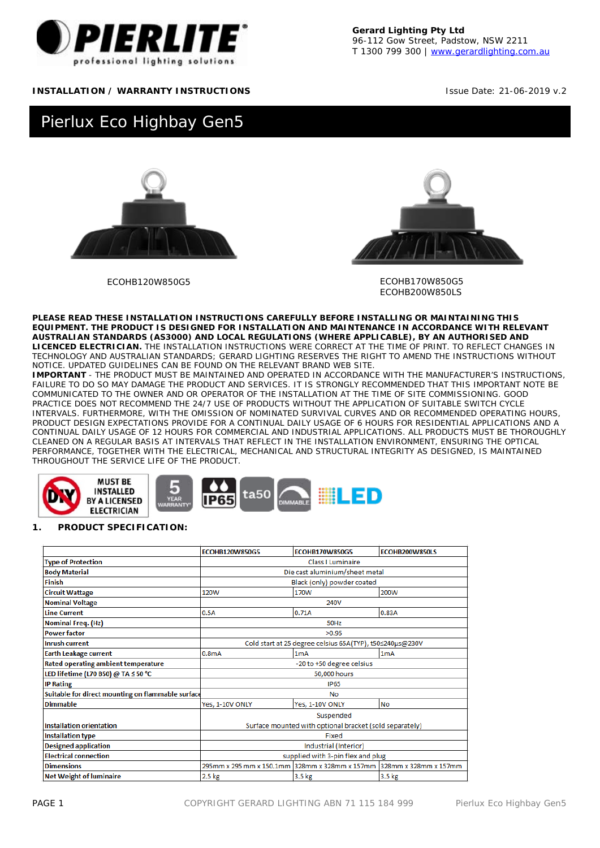

**Gerard Lighting Pty Ltd** 96-112 Gow Street, Padstow, NSW 2211 T 1300 799 300 | [www.gerardlighting.com.au](http://www.gerardlighting.com.au/)

## **INSTALLATION / WARRANTY INSTRUCTIONS Integral Contract Contract Contract Contract Contract Contract Contract Contract Contract Contract Contract Contract Contract Contract Contract Contract Contract Contract Contract Co**

# Pierlux Eco Highbay Gen5





ECOHB120W850G5 ECOHB170W850G5 ECOHB200W850LS

**PLEASE READ THESE INSTALLATION INSTRUCTIONS CAREFULLY BEFORE INSTALLING OR MAINTAINING THIS EQUIPMENT. THE PRODUCT IS DESIGNED FOR INSTALLATION AND MAINTENANCE IN ACCORDANCE WITH RELEVANT AUSTRALIAN STANDARDS (AS3000) AND LOCAL REGULATIONS (WHERE APPLICABLE), BY AN AUTHORISED AND LICENCED ELECTRICIAN.** THE INSTALLATION INSTRUCTIONS WERE CORRECT AT THE TIME OF PRINT. TO REFLECT CHANGES IN TECHNOLOGY AND AUSTRALIAN STANDARDS; GERARD LIGHTING RESERVES THE RIGHT TO AMEND THE INSTRUCTIONS WITHOUT NOTICE. UPDATED GUIDELINES CAN BE FOUND ON THE RELEVANT BRAND WEB SITE.

**IMPORTANT** - THE PRODUCT MUST BE MAINTAINED AND OPERATED IN ACCORDANCE WITH THE MANUFACTURER'S INSTRUCTIONS, FAILURE TO DO SO MAY DAMAGE THE PRODUCT AND SERVICES. IT IS STRONGLY RECOMMENDED THAT THIS IMPORTANT NOTE BE COMMUNICATED TO THE OWNER AND OR OPERATOR OF THE INSTALLATION AT THE TIME OF SITE COMMISSIONING. GOOD PRACTICE DOES NOT RECOMMEND THE 24/7 USE OF PRODUCTS WITHOUT THE APPLICATION OF SUITABLE SWITCH CYCLE INTERVALS. FURTHERMORE, WITH THE OMISSION OF NOMINATED SURVIVAL CURVES AND OR RECOMMENDED OPERATING HOURS, PRODUCT DESIGN EXPECTATIONS PROVIDE FOR A CONTINUAL DAILY USAGE OF 6 HOURS FOR RESIDENTIAL APPLICATIONS AND A CONTINUAL DAILY USAGE OF 12 HOURS FOR COMMERCIAL AND INDUSTRIAL APPLICATIONS. ALL PRODUCTS MUST BE THOROUGHLY CLEANED ON A REGULAR BASIS AT INTERVALS THAT REFLECT IN THE INSTALLATION ENVIRONMENT, ENSURING THE OPTICAL PERFORMANCE, TOGETHER WITH THE ELECTRICAL, MECHANICAL AND STRUCTURAL INTEGRITY AS DESIGNED, IS MAINTAINED THROUGHOUT THE SERVICE LIFE OF THE PRODUCT.



#### **1. PRODUCT SPECIFICATION:**

|                                                   | <b>FCOHB120W850G5</b>                                                | <b>FCOHB170W850G5</b> | <b>FCOHB200W850LS</b> |  |  |
|---------------------------------------------------|----------------------------------------------------------------------|-----------------------|-----------------------|--|--|
| <b>Type of Protection</b>                         | Class I Luminaire                                                    |                       |                       |  |  |
| <b>Body Material</b>                              | Die cast aluminium/sheet metal                                       |                       |                       |  |  |
| <b>Finish</b>                                     | Black (only) powder coated                                           |                       |                       |  |  |
| <b>Circuit Wattage</b>                            | 120W                                                                 | 170W                  | 200W                  |  |  |
| <b>Nominal Voltage</b>                            |                                                                      | 240V                  |                       |  |  |
| <b>Line Current</b>                               | 0.5A                                                                 | 0.71A                 | 0.83A                 |  |  |
| Nominal Freq. (Hz)                                | 50Hz                                                                 |                       |                       |  |  |
| <b>Power factor</b>                               |                                                                      | >0.95                 |                       |  |  |
| <b>Inrush current</b>                             | Cold start at 25 degree celsius 65A(TYP), t50≤240µs@230V             |                       |                       |  |  |
| <b>Earth Leakage current</b>                      | 0.8 <sub>m</sub> A                                                   | 1 <sub>m</sub> A      | 1 <sub>m</sub> A      |  |  |
| Rated operating ambient temperature               | -20 to +50 degree celsius                                            |                       |                       |  |  |
| LED lifetime (L70 B50) @ TA ≤ 50 °C               | 50,000 hours                                                         |                       |                       |  |  |
| <b>IP Rating</b>                                  | <b>IP65</b>                                                          |                       |                       |  |  |
| Suitable for direct mounting on flammable surface | <b>No</b>                                                            |                       |                       |  |  |
| <b>Dimmable</b>                                   | Yes, 1-10V ONLY                                                      | Yes. 1-10V ONLY       | No                    |  |  |
|                                                   |                                                                      | Suspended             |                       |  |  |
| <b>Installation orientation</b>                   | Surface mounted with optional bracket (sold separately)              |                       |                       |  |  |
| <b>Installation type</b>                          | Fixed                                                                |                       |                       |  |  |
| <b>Designed application</b>                       | Industrial (Interior)                                                |                       |                       |  |  |
| <b>Electrical connection</b>                      | supplied with 3-pin flex and plug                                    |                       |                       |  |  |
| <b>Dimensions</b>                                 | 295mm x 295 mm x 150.1mm 328mm x 328mm x 157mm 328mm x 328mm x 157mm |                       |                       |  |  |
| <b>Net Weight of luminaire</b>                    | $2.5$ kg                                                             | 3.5 kg                | 3.5 <sub>kg</sub>     |  |  |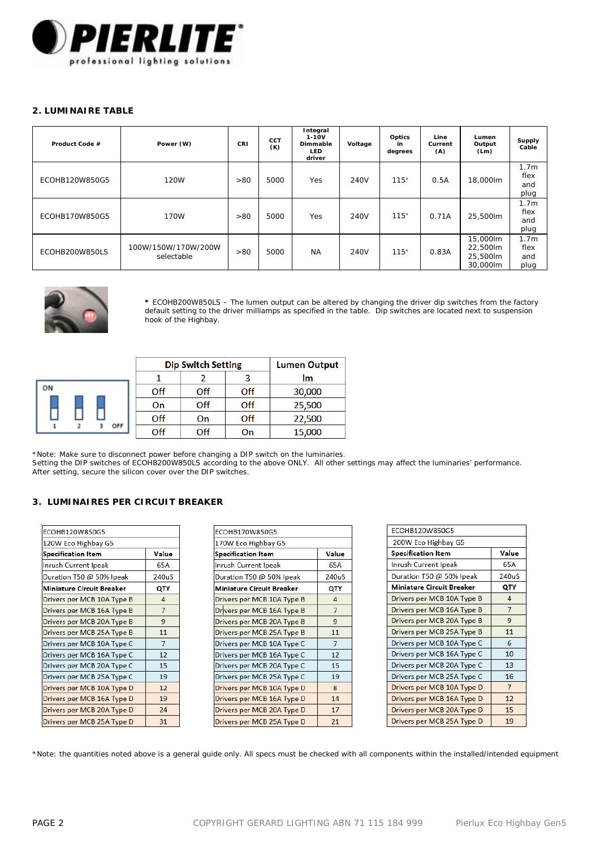

### **2. LUMINAIRE TABLE**

| Product Code # | Power (W)                         | CRI | CCT<br>(K) | Integral<br>$1 - 10V$<br>Dimmable<br><b>LED</b><br>driver | Voltage | Optics<br>in<br>degrees | Line<br>Current<br>(A) | Lumen<br>Output<br>(Lm)                      | Supply<br>Cable                         |
|----------------|-----------------------------------|-----|------------|-----------------------------------------------------------|---------|-------------------------|------------------------|----------------------------------------------|-----------------------------------------|
| ECOHB120W850G5 | <b>120W</b>                       | >80 | 5000       | Yes                                                       | 240V    | 115°                    | 0.5A                   | 18.000lm                                     | 1.7 <sub>m</sub><br>flex<br>and<br>plug |
| ECOHB170W850G5 | 170W                              | >80 | 5000       | Yes                                                       | 240V    | 115°                    | 0.71A                  | 25.500lm                                     | 1.7 <sub>m</sub><br>flex<br>and<br>plug |
| ECOHB200W850LS | 100W/150W/170W/200W<br>selectable | >80 | 5000       | <b>NA</b>                                                 | 240V    | 115°                    | 0.83A                  | 15.000lm<br>22.500lm<br>25.500lm<br>30.000lm | 1.7 <sub>m</sub><br>flex<br>and<br>plug |



 $\circ$ 

**\*** ECOHB200W850LS – The lumen output can be altered by changing the driver dip switches from the factory default setting to the driver milliamps as specified in the table. Dip switches are located next to suspension hook of the Highbay.

|   |     | <b>Dip Switch Setting</b> | <b>Lumen Output</b> |     |        |
|---|-----|---------------------------|---------------------|-----|--------|
|   |     |                           |                     |     | lm     |
| Ν |     | Off                       | Off                 | Off | 30,000 |
|   |     | On                        | Off                 | Off | 25,500 |
|   |     | Off                       | On                  | Off | 22,500 |
|   | OFF | Off                       | Off                 | On  | 15,000 |

\*Note: Make sure to disconnect power before changing a DIP switch on the luminaries.

Setting the DIP switches of ECOHB200W850LS according to the above ONLY. All other settings may affect the luminaries' performance. After setting, secure the silicon cover over the DIP switches.

# **3. LUMINAIRES PER CIRCUIT BREAKER**

| ECOHB120W850G5             |                |
|----------------------------|----------------|
| 120W Eco Highbay G5        |                |
| Specification Item         | Value          |
| Inrush Current Ipeak       | 65A            |
| Duration T50 @ 50% Ipeak   | 240uS          |
| Miniature Circuit Breaker  | QTY            |
| Drivers per MCB 10A Type B | 4              |
| Drivers per MCB 16A Type B | $\overline{7}$ |
| Drivers per MCB 20A Type B | 9              |
| Drivers per MCB 25A Type B | 11             |
| Drivers per MCB 10A Type C | $\overline{7}$ |
| Drivers per MCB 16A Type C | 12             |
| Drivers per MCB 20A Type C | 15             |
| Drivers per MCB 25A Type C | 19             |
| Drivers per MCB 10A Type D | 12             |
| Drivers per MCB 16A Type D | 19             |
| Drivers per MCB 20A Type D | 24             |
| Drivers per MCB 25A Type D | 31             |

| ECOHB170W850G5             |                |  |  |
|----------------------------|----------------|--|--|
| 170W Eco Highbay G5        |                |  |  |
| Specification Item         | Value          |  |  |
| Inrush Current Ipeak       | 65A            |  |  |
| Duration T50 @ 50% Ipeak   | 240uS          |  |  |
| Miniature Circuit Breaker  | QTY            |  |  |
| Drivers per MCB 10A Type B | $\overline{a}$ |  |  |
| Drivers per MCB 16A Type B | $\overline{7}$ |  |  |
| Drivers per MCB 20A Type B | $\overline{9}$ |  |  |
| Drivers per MCB 25A Type B | 11             |  |  |
| Drivers per MCB 10A Type C | $\overline{7}$ |  |  |
| Drivers per MCB 16A Type C | 12             |  |  |
| Drivers per MCB 20A Type C | 15             |  |  |
| Drivers per MCB 25A Type C | 19             |  |  |
| Drivers per MCB 10A Type D | 8              |  |  |
| Drivers per MCB 16A Type D | 14             |  |  |
| Drivers per MCB 20A Type D | 17             |  |  |
| Drivers per MCB 25A Type D | 21             |  |  |

| ECOHB120W850G5             |                |  |
|----------------------------|----------------|--|
| 200W Eco Highbay G5        |                |  |
| <b>Specification Item</b>  | Value          |  |
| Inrush Current Ipeak       | 65A            |  |
| Duration T50 @ 50% Ipeak   | 240uS          |  |
| Miniature Circuit Breaker  | QTY            |  |
| Drivers per MCB 10A Type B | 4              |  |
| Drivers per MCB 16A Type B | $\overline{7}$ |  |
| Drivers per MCB 20A Type B | 9              |  |
| Drivers per MCB 25A Type B | 11             |  |
| Drivers per MCB 10A Type C | 6              |  |
| Drivers per MCB 16A Type C | 10             |  |
| Drivers per MCB 20A Type C | 13             |  |
| Drivers per MCB 25A Type C | 16             |  |
| Drivers per MCB 10A Type D | $\overline{7}$ |  |
| Drivers per MCB 16A Type D | 12             |  |
| Drivers per MCB 20A Type D | 15             |  |
| Drivers per MCB 25A Type D | 19             |  |

\*Note: the quantities noted above is a general guide only. All specs must be checked with all components within the installed/intended equipment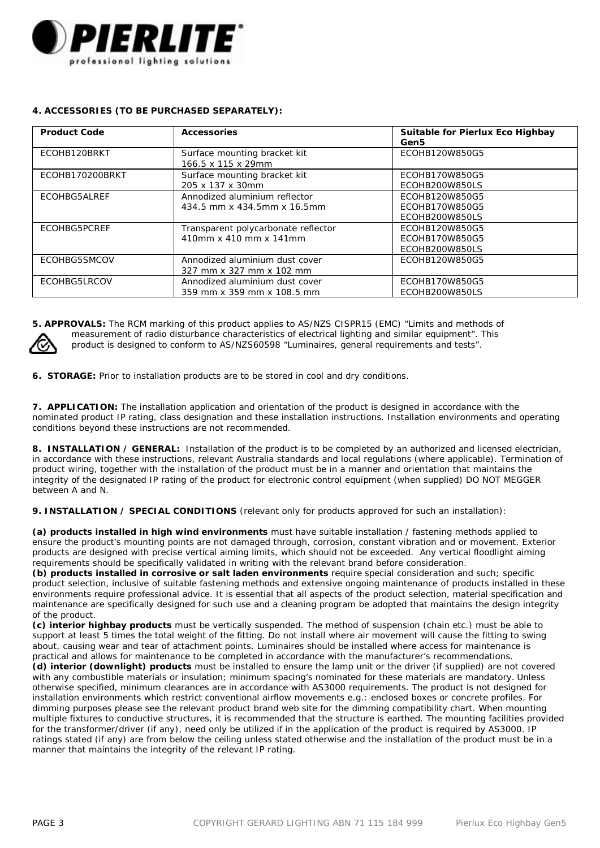

# **4. ACCESSORIES (TO BE PURCHASED SEPARATELY):**

| <b>Product Code</b> | <b>Accessories</b>                                            | Suitable for Pierlux Eco Highbay<br>Gen5           |
|---------------------|---------------------------------------------------------------|----------------------------------------------------|
| ECOHB120BRKT        | Surface mounting bracket kit<br>166.5 x 115 x 29mm            | ECOHB120W850G5                                     |
| FCOHB170200BRKT     | Surface mounting bracket kit<br>205 x 137 x 30mm              | FCOHB170W850G5<br>ECOHB200W850LS                   |
| <b>FCOHBG5ALREE</b> | Annodized aluminium reflector<br>434.5 mm x 434.5mm x 16.5mm  | FCOHB120W850G5<br>FCOHB170W850G5<br>ECOHB200W850LS |
| <b>FCOHBG5PCRFF</b> | Transparent polycarbonate reflector<br>410mm x 410 mm x 141mm | FCOHB120W850G5<br>FCOHB170W850G5<br>ECOHB200W850LS |
| <b>FCOHBG5SMCOV</b> | Annodized aluminium dust cover<br>327 mm x 327 mm x 102 mm    | FCOHB120W850G5                                     |
| <b>FCOHBG5LRCOV</b> | Annodized aluminium dust cover<br>359 mm x 359 mm x 108.5 mm  | FCOHB170W850G5<br>ECOHB200W850LS                   |

**5. APPROVALS:** The RCM marking of this product applies to AS/NZS CISPR15 (EMC) "Limits and methods of



 measurement of radio disturbance characteristics of electrical lighting and similar equipment". This product is designed to conform to AS/NZS60598 "Luminaires, general requirements and tests".

**6. STORAGE:** Prior to installation products are to be stored in cool and dry conditions.

**7. APPLICATION:** The installation application and orientation of the product is designed in accordance with the nominated product IP rating, class designation and these installation instructions. Installation environments and operating conditions beyond these instructions are not recommended.

**8. INSTALLATION / GENERAL:** Installation of the product is to be completed by an authorized and licensed electrician, in accordance with these instructions, relevant Australia standards and local regulations (where applicable). Termination of product wiring, together with the installation of the product must be in a manner and orientation that maintains the integrity of the designated IP rating of the product for electronic control equipment (when supplied) DO NOT MEGGER between A and N.

**9. INSTALLATION / SPECIAL CONDITIONS** (relevant only for products approved for such an installation):

**(a) products installed in high wind environments** must have suitable installation / fastening methods applied to ensure the product's mounting points are not damaged through, corrosion, constant vibration and or movement. Exterior products are designed with precise vertical aiming limits, which should not be exceeded. Any vertical floodlight aiming requirements should be specifically validated in writing with the relevant brand before consideration.

**(b) products installed in corrosive or salt laden environments** require special consideration and such; specific product selection, inclusive of suitable fastening methods and extensive ongoing maintenance of products installed in these environments require professional advice. It is essential that all aspects of the product selection, material specification and maintenance are specifically designed for such use and a cleaning program be adopted that maintains the design integrity of the product.

**(c) interior highbay products** must be vertically suspended. The method of suspension (chain etc.) must be able to support at least 5 times the total weight of the fitting. Do not install where air movement will cause the fitting to swing about, causing wear and tear of attachment points. Luminaires should be installed where access for maintenance is practical and allows for maintenance to be completed in accordance with the manufacturer's recommendations.

**(d) interior (downlight) products** must be installed to ensure the lamp unit or the driver (if supplied) are not covered with any combustible materials or insulation; minimum spacing's nominated for these materials are mandatory. Unless otherwise specified, minimum clearances are in accordance with AS3000 requirements. The product is not designed for installation environments which restrict conventional airflow movements e.g.: enclosed boxes or concrete profiles. For dimming purposes please see the relevant product brand web site for the dimming compatibility chart. When mounting multiple fixtures to conductive structures, it is recommended that the structure is earthed. The mounting facilities provided for the transformer/driver (if any), need only be utilized if in the application of the product is required by AS3000. IP ratings stated (if any) are from below the ceiling unless stated otherwise and the installation of the product must be in a manner that maintains the integrity of the relevant IP rating.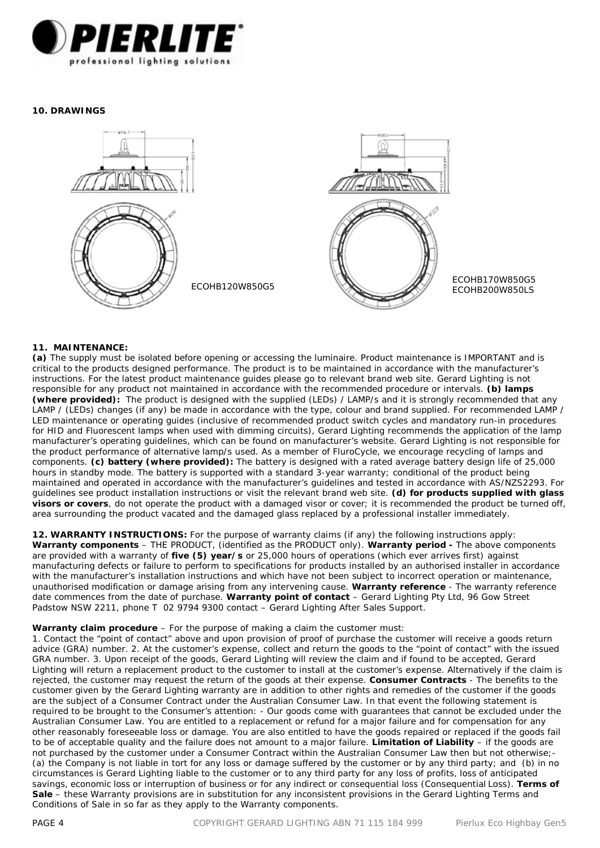

#### **10. DRAWINGS**



# **11. MAINTENANCE:**

**(a)** The supply must be isolated before opening or accessing the luminaire. Product maintenance is IMPORTANT and is critical to the products designed performance. The product is to be maintained in accordance with the manufacturer's instructions. For the latest product maintenance guides please go to relevant brand web site. Gerard Lighting is not responsible for any product not maintained in accordance with the recommended procedure or intervals. **(b) lamps (where provided):** The product is designed with the supplied (LEDs) / LAMP/s and it is strongly recommended that any LAMP / (LEDs) changes (if any) be made in accordance with the type, colour and brand supplied. For recommended LAMP / LED maintenance or operating guides (inclusive of recommended product switch cycles and mandatory run-in procedures for HID and Fluorescent lamps when used with dimming circuits), Gerard Lighting recommends the application of the lamp manufacturer's operating guidelines, which can be found on manufacturer's website. Gerard Lighting is not responsible for the product performance of alternative lamp/s used. As a member of FluroCycle, we encourage recycling of lamps and components. **(c) battery (where provided):** The battery is designed with a rated average battery design life of 25,000 hours in standby mode. The battery is supported with a standard 3-year warranty; conditional of the product being maintained and operated in accordance with the manufacturer's guidelines and tested in accordance with AS/NZS2293. For guidelines see product installation instructions or visit the relevant brand web site. **(d) for products supplied with glass visors or covers**, do not operate the product with a damaged visor or cover; it is recommended the product be turned off, area surrounding the product vacated and the damaged glass replaced by a professional installer immediately.

**12. WARRANTY INSTRUCTIONS:** For the purpose of warranty claims (if any) the following instructions apply: **Warranty components** – THE PRODUCT, (identified as the PRODUCT only). **Warranty period -** The above components are provided with a warranty of **five (5) year/s** or 25,000 hours of operations (which ever arrives first) against manufacturing defects or failure to perform to specifications for products installed by an authorised installer in accordance with the manufacturer's installation instructions and which have not been subject to incorrect operation or maintenance. unauthorised modification or damage arising from any intervening cause. **Warranty reference** - The warranty reference date commences from the date of purchase. **Warranty point of contact** – Gerard Lighting Pty Ltd, 96 Gow Street Padstow NSW 2211, phone T 02 9794 9300 contact – Gerard Lighting After Sales Support.

#### **Warranty claim procedure** – For the purpose of making a claim the customer must:

1. Contact the "point of contact" above and upon provision of proof of purchase the customer will receive a goods return advice (GRA) number. 2. At the customer's expense, collect and return the goods to the "point of contact" with the issued GRA number. 3. Upon receipt of the goods, Gerard Lighting will review the claim and if found to be accepted, Gerard Lighting will return a replacement product to the customer to install at the customer's expense. Alternatively if the claim is rejected, the customer may request the return of the goods at their expense. **Consumer Contracts** - The benefits to the customer given by the Gerard Lighting warranty are in addition to other rights and remedies of the customer if the goods are the subject of a Consumer Contract under the Australian Consumer Law. In that event the following statement is required to be brought to the Consumer's attention: - *Our goods come with guarantees that cannot be excluded under the Australian Consumer Law. You are entitled to a replacement or refund for a major failure and for compensation for any other reasonably foreseeable loss or damage. You are also entitled to have the goods repaired or replaced if the goods fail to be of acceptable quality and the failure does not amount to a major failure.* **Limitation of Liability** – if the goods are not purchased by the customer under a Consumer Contract within the Australian Consumer Law then but not otherwise;- (a) the Company is not liable in tort for any loss or damage suffered by the customer or by any third party; and (b) in no circumstances is Gerard Lighting liable to the customer or to any third party for any loss of profits, loss of anticipated savings, economic loss or interruption of business or for any indirect or consequential loss (Consequential Loss). **Terms of Sale** – these Warranty provisions are in substitution for any inconsistent provisions in the Gerard Lighting Terms and Conditions of Sale in so far as they apply to the Warranty components.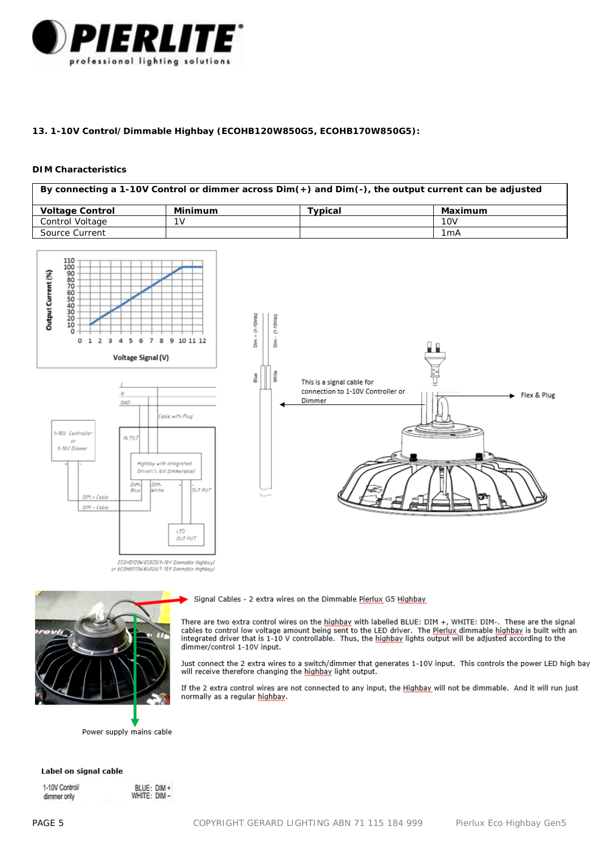

# **13. 1-10V Control/Dimmable Highbay (ECOHB120W850G5, ECOHB170W850G5):**

#### **DIM Characteristics**

| By connecting a 1-10V Control or dimmer across $Dim(+)$ and $Dim(-)$ , the output current can be adjusted |                |         |                  |  |
|-----------------------------------------------------------------------------------------------------------|----------------|---------|------------------|--|
| <b>Voltage Control</b>                                                                                    | Minimum        | Tvpical | Maximum          |  |
| Control Voltage                                                                                           | 1 <sub>V</sub> |         | 10V              |  |
| Source Current                                                                                            |                |         | 1 <sub>m</sub> A |  |





Signal Cables - 2 extra wires on the Dimmable Pierlux G5 Highbay

There are two extra control wires on the highbay with labelled BLUE: DIM +, WHITE: DIM-. These are the signal cables to control low voltage amount being sent to the LED driver. The Pierlux dimmable highbay is built with an integrated driver that is 1-10 V controllable. Thus, the highbay lights output will be adjusted according to the dimmer/control 1-10V input.

Just connect the 2 extra wires to a switch/dimmer that generates 1-10V input. This controls the power LED high bay will receive therefore changing the highbay light output.

If the 2 extra control wires are not connected to any input, the Highbay will not be dimmable. And it will run just normally as a regular highbay.

Power supply mains cable

#### Label on signal cable

1-10V Controll dimmer only